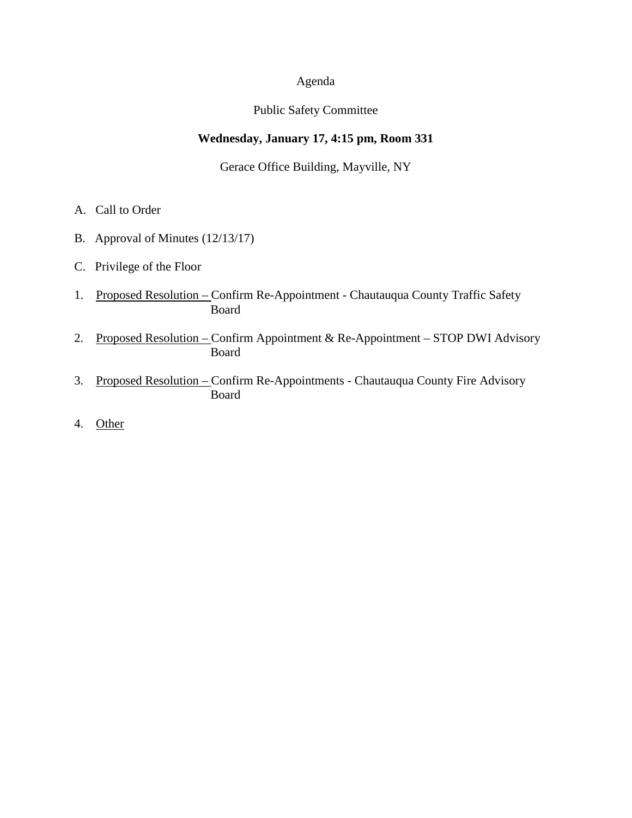# Agenda

## Public Safety Committee

## **Wednesday, January 17, 4:15 pm, Room 331**

Gerace Office Building, Mayville, NY

- A. Call to Order
- B. Approval of Minutes (12/13/17)
- C. Privilege of the Floor
- 1. Proposed Resolution Confirm Re-Appointment Chautauqua County Traffic Safety Board
- 2. Proposed Resolution Confirm Appointment & Re-Appointment STOP DWI Advisory Board
- 3. Proposed Resolution Confirm Re-Appointments Chautauqua County Fire Advisory Board
- 4. Other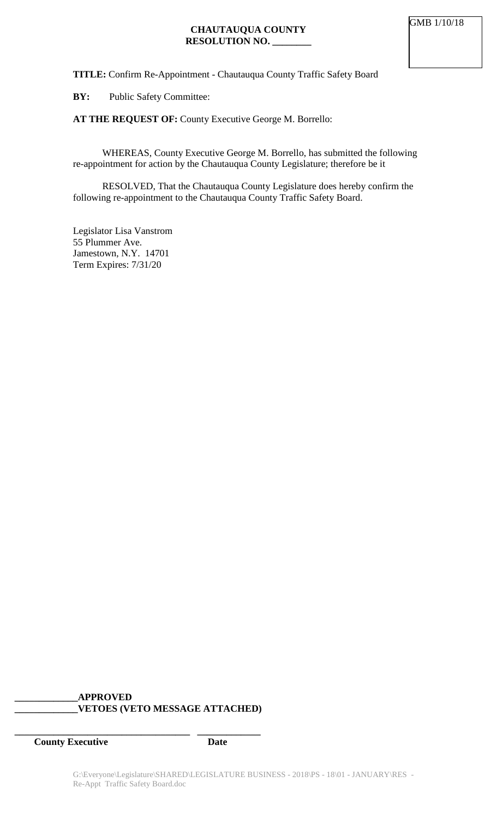## **CHAUTAUQUA COUNTY RESOLUTION NO. \_\_\_\_\_\_\_\_**

**TITLE:** Confirm Re-Appointment - Chautauqua County Traffic Safety Board

**BY:** Public Safety Committee:

**AT THE REQUEST OF:** County Executive George M. Borrello:

WHEREAS, County Executive George M. Borrello, has submitted the following re-appointment for action by the Chautauqua County Legislature; therefore be it

RESOLVED, That the Chautauqua County Legislature does hereby confirm the following re-appointment to the Chautauqua County Traffic Safety Board.

Legislator Lisa Vanstrom 55 Plummer Ave. Jamestown, N.Y. 14701 Term Expires: 7/31/20

## **\_\_\_\_\_\_\_\_\_\_\_\_\_APPROVED \_\_\_\_\_\_\_\_\_\_\_\_\_VETOES (VETO MESSAGE ATTACHED)**

**\_\_\_\_\_\_\_\_\_\_\_\_\_\_\_\_\_\_\_\_\_\_\_\_\_\_\_\_\_\_\_\_\_\_\_\_ \_\_\_\_\_\_\_\_\_\_\_\_\_**

**County Executive Date**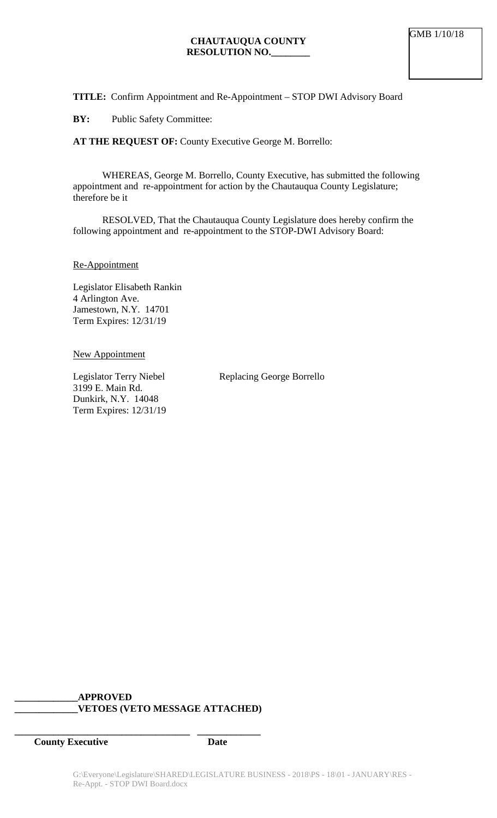**TITLE:** Confirm Appointment and Re-Appointment – STOP DWI Advisory Board

**BY:** Public Safety Committee:

**AT THE REQUEST OF:** County Executive George M. Borrello:

WHEREAS, George M. Borrello, County Executive, has submitted the following appointment and re-appointment for action by the Chautauqua County Legislature; therefore be it

RESOLVED, That the Chautauqua County Legislature does hereby confirm the following appointment and re-appointment to the STOP-DWI Advisory Board:

Re-Appointment

Legislator Elisabeth Rankin 4 Arlington Ave. Jamestown, N.Y. 14701 Term Expires: 12/31/19

New Appointment

3199 E. Main Rd. Dunkirk, N.Y. 14048 Term Expires: 12/31/19

Legislator Terry Niebel Replacing George Borrello

#### **\_\_\_\_\_\_\_\_\_\_\_\_\_APPROVED \_\_\_\_\_\_\_\_\_\_\_\_\_VETOES (VETO MESSAGE ATTACHED)**

**\_\_\_\_\_\_\_\_\_\_\_\_\_\_\_\_\_\_\_\_\_\_\_\_\_\_\_\_\_\_\_\_\_\_\_\_ \_\_\_\_\_\_\_\_\_\_\_\_\_**

**County Executive Date**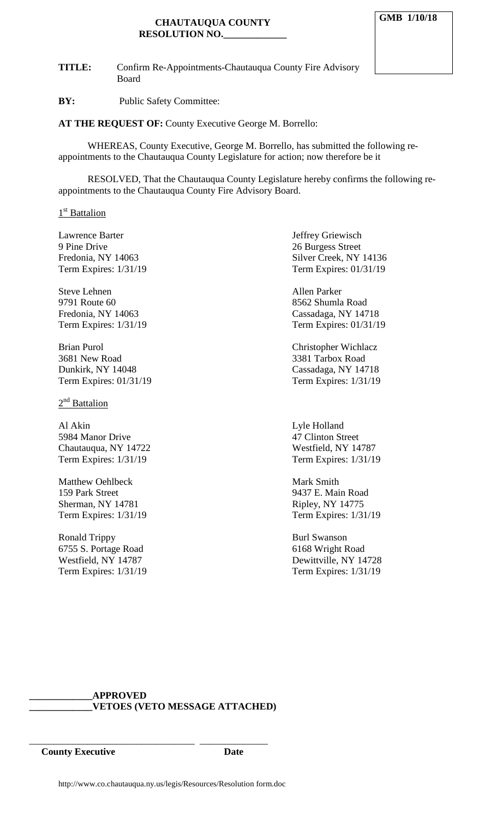#### **CHAUTAUQUA COUNTY RESOLUTION NO.\_\_\_\_\_\_\_\_\_\_\_\_\_**

**TITLE:** Confirm Re-Appointments-Chautauqua County Fire Advisory Board

**BY:** Public Safety Committee:

**AT THE REQUEST OF:** County Executive George M. Borrello:

WHEREAS, County Executive, George M. Borrello, has submitted the following reappointments to the Chautauqua County Legislature for action; now therefore be it

RESOLVED, That the Chautauqua County Legislature hereby confirms the following reappointments to the Chautauqua County Fire Advisory Board.

#### 1<sup>st</sup> Battalion

Lawrence Barter **Internal Community** Jeffrey Griewisch 9 Pine Drive 26 Burgess Street Fredonia, NY 14063<br>
Term Expires: 1/31/19<br>
Term Expires: 01/31/19

Steve Lehnen Allen Parker 9791 Route 60 8562 Shumla Road Fredonia, NY 14063 Cassadaga, NY 14718

Brian Purol **Christopher Wichlacz** 3681 New Road 3381 Tarbox Road Dunkirk, NY 14048 Cassadaga, NY 14718 Term Expires: 01/31/19 Term Expires: 1/31/19

 $2<sup>nd</sup>$  Battalion

Al Akin Lyle Holland 5984 Manor Drive 47 Clinton Street Chautauqua, NY 14722 Westfield, NY 14787 Term Expires: 1/31/19 Term Expires: 1/31/19

Matthew Oehlbeck Mark Smith 159 Park Street 9437 E. Main Road Sherman, NY 14781 Ripley, NY 14775

Ronald Trippy Burl Swanson 6755 S. Portage Road 6168 Wright Road

Term Expires: 01/31/19

Term Expires: 1/31/19 Term Expires: 01/31/19

Term Expires: 1/31/19 Term Expires: 1/31/19

Westfield, NY 14787 Dewittville, NY 14728 Term Expires: 1/31/19 Term Expires: 1/31/19

### **\_\_\_\_\_\_\_\_\_\_\_\_\_APPROVED \_\_\_\_\_\_\_\_\_\_\_\_\_VETOES (VETO MESSAGE ATTACHED)**

**County Executive Date**

\_\_\_\_\_\_\_\_\_\_\_\_\_\_\_\_\_\_\_\_\_\_\_\_\_\_\_\_\_\_\_\_\_\_ \_\_\_\_\_\_\_\_\_\_\_\_\_\_